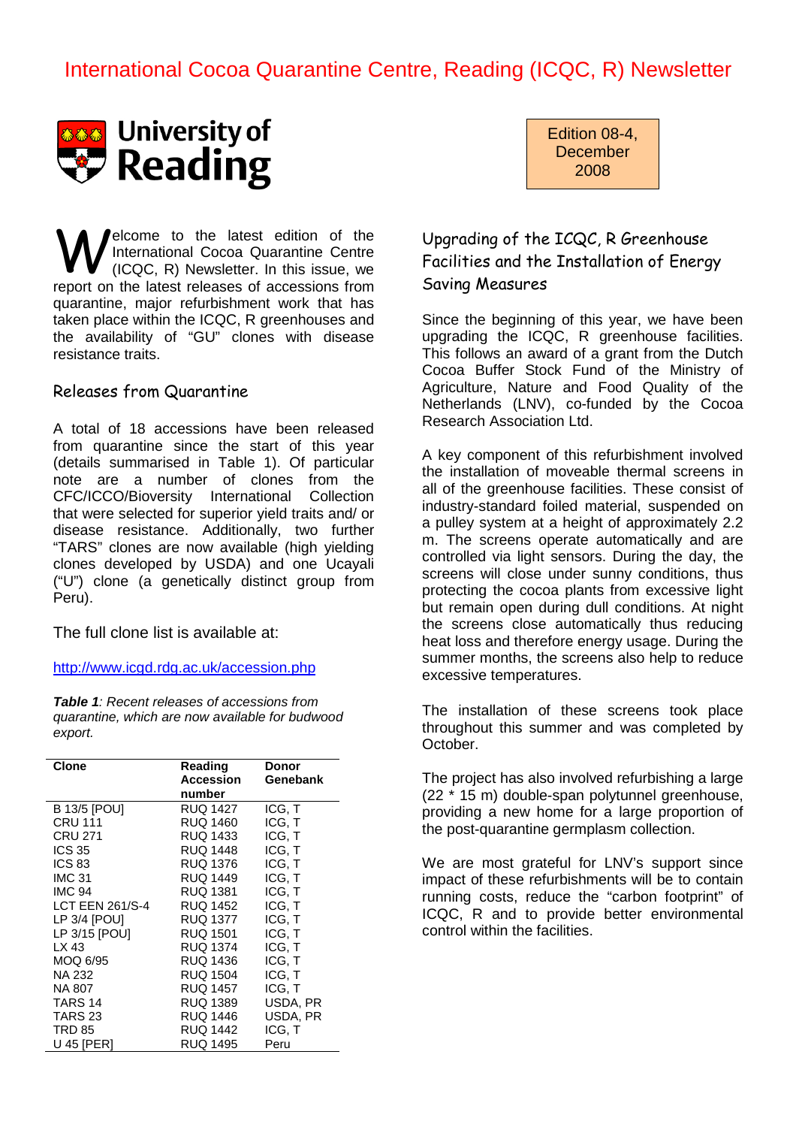# International Cocoa Quarantine Centre, Reading (ICQC, R) Newsletter



elcome to the latest edition of the International Cocoa Quarantine Centre (ICQC, R) Newsletter. In this issue, we **W** International Cocoa Quarantine Centre (ICQC, R) Newsletter. In this issue, we report on the latest releases of accessions from quarantine, major refurbishment work that has taken place within the ICQC, R greenhouses and the availability of "GU" clones with disease resistance traits.

#### Releases from Quarantine

A total of 18 accessions have been released from quarantine since the start of this year (details summarised in Table 1). Of particular note are a number of clones from the CFC/ICCO/Bioversity International Collection that were selected for superior yield traits and/ or disease resistance. Additionally, two further "TARS" clones are now available (high yielding clones developed by USDA) and one Ucayali ("U") clone (a genetically distinct group from Peru).

The full clone list is available at:

http://www.icgd.rdg.ac.uk/accession.php

**Table 1**: Recent releases of accessions from quarantine, which are now available for budwood export.

| Clone               | Reading          | Donor    |  |
|---------------------|------------------|----------|--|
|                     | <b>Accession</b> | Genebank |  |
|                     | number           |          |  |
| <b>B 13/5 [POU]</b> | <b>RUQ 1427</b>  | ICG, T   |  |
| CRU 111             | RUQ 1460         | ICG. T   |  |
| CRU 271             | RUQ 1433         | ICG. T   |  |
| <b>ICS 35</b>       | RUQ 1448         | ICG, T   |  |
| <b>ICS 83</b>       | RUQ 1376         | ICG, T   |  |
| <b>IMC 31</b>       | RUQ 1449         | ICG. T   |  |
| <b>IMC 94</b>       | RUQ 1381         | ICG, T   |  |
| LCT EEN 261/S-4     | RUQ 1452         | ICG. T   |  |
| LP 3/4 [POU]        | RUQ 1377         | ICG, T   |  |
| LP 3/15 [POU]       | RUQ 1501         | ICG. T   |  |
| LX 43               | <b>RUQ 1374</b>  | ICG, T   |  |
| MOQ 6/95            | RUQ 1436         | ICG, T   |  |
| <b>NA 232</b>       | <b>RUQ 1504</b>  | ICG, T   |  |
| NA 807              | RUQ 1457         | ICG. T   |  |
| TARS 14             | RUQ 1389         | USDA, PR |  |
| TARS <sub>23</sub>  | RUQ 1446         | USDA, PR |  |
| <b>TRD 85</b>       | <b>RUQ 1442</b>  | ICG. T   |  |
| U 45 [PER]          | RUQ 1495         | Peru     |  |

Edition 08-4, December 2008

### Upgrading of the ICQC, R Greenhouse Facilities and the Installation of Energy Saving Measures

Since the beginning of this year, we have been upgrading the ICQC, R greenhouse facilities. This follows an award of a grant from the Dutch Cocoa Buffer Stock Fund of the Ministry of Agriculture, Nature and Food Quality of the Netherlands (LNV), co-funded by the Cocoa Research Association Ltd.

A key component of this refurbishment involved the installation of moveable thermal screens in all of the greenhouse facilities. These consist of industry-standard foiled material, suspended on a pulley system at a height of approximately 2.2 m. The screens operate automatically and are controlled via light sensors. During the day, the screens will close under sunny conditions, thus protecting the cocoa plants from excessive light but remain open during dull conditions. At night the screens close automatically thus reducing heat loss and therefore energy usage. During the summer months, the screens also help to reduce excessive temperatures.

The installation of these screens took place throughout this summer and was completed by October.

The project has also involved refurbishing a large (22 \* 15 m) double-span polytunnel greenhouse, providing a new home for a large proportion of the post-quarantine germplasm collection.

We are most grateful for LNV's support since impact of these refurbishments will be to contain running costs, reduce the "carbon footprint" of ICQC, R and to provide better environmental control within the facilities.